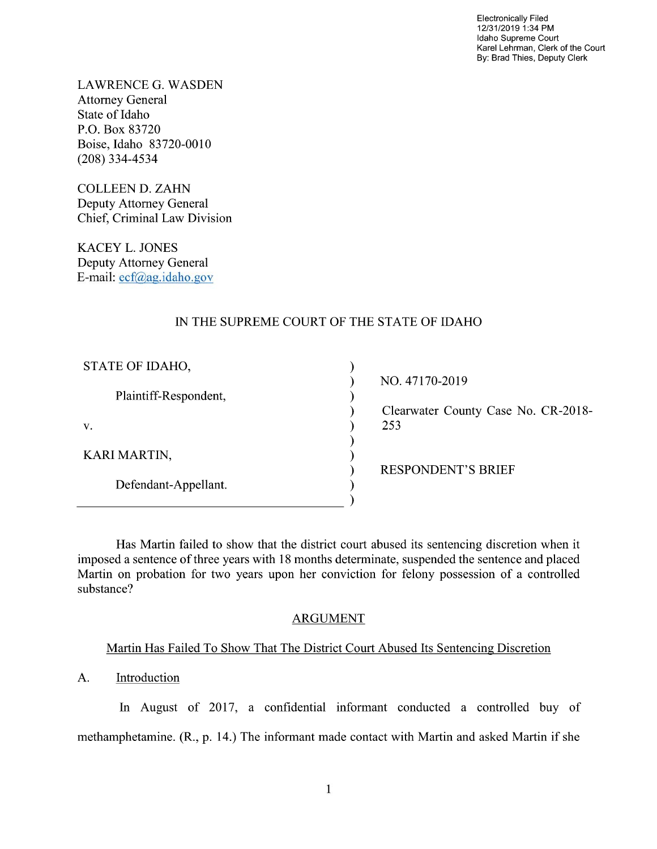Electronically Filed 12/31/2019 1:34 PM Idaho Supreme Court Karel Lehrman, Clerk of the Court By: Brad Thies, Deputy Clerk

LAWRENCE G. WASDEN Attorney General State of Idaho P.O. Box 83720 Boise, Idaho 83720-0010 (208) 334-4534

COLLEEN D. ZAHN Deputy Attorney General Chief, Criminal Law Division

KACEY L. JONES Deputy Attorney General E—mail: ecf@ag.idaho.g0v

# IN THE SUPREME COURT OF THE STATE OF IDAHO

| STATE OF IDAHO,       |                                     |
|-----------------------|-------------------------------------|
|                       | NO. 47170-2019                      |
| Plaintiff-Respondent, |                                     |
|                       | Clearwater County Case No. CR-2018- |
| V.                    | 253                                 |
|                       |                                     |
| <b>KARI MARTIN,</b>   |                                     |
|                       | <b>RESPONDENT'S BRIEF</b>           |
| Defendant-Appellant.  |                                     |
|                       |                                     |

Has Martin failed to show that the district court abused its sentencing discretion when it imposed a sentence of three years with 18 months determinate, suspended the sentence and placed Martin on probation for two years upon her conviction for felony possession of a controlled substance?

#### ARGUMENT

# Martin Has Failed To Show That The District Court Abused Its Sentencing Discretion

A. Introduction

In August of 2017, a confidential informant conducted a controlled buy of methamphetamine. (R., p. 14.) The informant made contact with Martin and asked Martin if she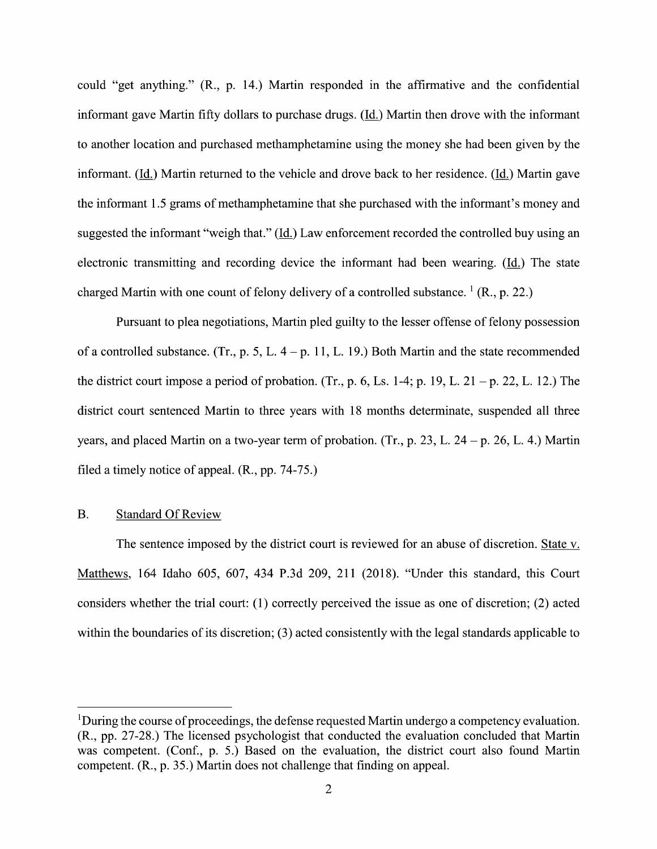could "get anything." (R., p. 14.) Martin responded in the affirmative and the confidential informant gave Martin fifty dollars to purchase drugs. (Id.) Martin then drove with the informant to another location and purchased methamphetamine using the money she had been given by the informant. (Id.) Martin returned to the vehicle and drove back to her residence. (Id.) Martin gave the informant 1.5 grams of methamphetamine that she purchased with the informant's money and suggested the informant "weigh that." (Id.) Law enforcement recorded the controlled buy using an electronic transmitting and recording device the informant had been wearing. (Id.) The state charged Martin with one count of felony delivery of a controlled substance.  $(1)$  (R., p. 22.)

Pursuant to plea negotiations, Martin pled guilty to the lesser offense of felony possession of a controlled substance. (Tr., p. 5, L.  $4-p$ . 11, L. 19.) Both Martin and the state recommended the district court impose a period of probation. (Tr., p. 6, Ls. 1-4; p. 19, L. 21 – p. 22, L. 12.) The district court sentenced Martin to three years With 18 months determinate, suspended all three years, and placed Martin on a two-year term of probation. (Tr., p. 23, L. 24 – p. 26, L. 4.) Martin filed a timely notice of appeal.  $(R., pp. 74-75.)$ 

### B. Standard Of Review

The sentence imposed by the district court is reviewed for an abuse of discretion. State v. Matthews, 164 Idaho 605, 607, 434 P.3d 209, 211 (2018). "Under this standard, this Court considers whether the trial court:  $(1)$  correctly perceived the issue as one of discretion;  $(2)$  acted within the boundaries of its discretion; (3) acted consistently with the legal standards applicable to

<sup>&</sup>lt;sup>1</sup>During the course of proceedings, the defense requested Martin undergo a competency evaluation. (R., pp. 27-28.) The licensed psychologist that conducted the evaluation concluded that Martin was competent. (Conf., p. 5.) Based on the evaluation, the district court also found Martin competent. (R., p. 35.) Martin does not challenge that finding 0n appeal.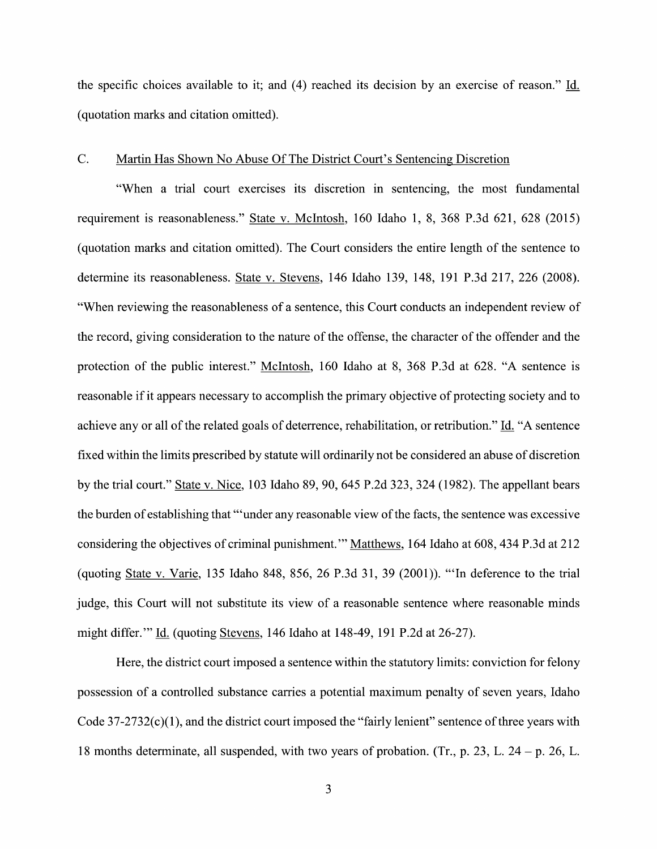the specific choices available to it; and  $(4)$  reached its decision by an exercise of reason." Id. (quotation marks and citation omitted).

#### C. Martin Has Shown N0 Abuse Of The District Court's Sentencing Discretion

"When a trial court exercises its discretion in sentencing, the most fundamental requirement is reasonableness." State V. McIntosh, 160 Idaho 1, 8, 368 P.3d 621, 628 (2015) (quotation marks and citation omitted). The Court considers the entire length of the sentence t0 determine its reasonableness. State v. Stevens, 146 Idaho 139, 148, 191 P.3d 217, 226 (2008). "When reviewing the reasonableness of a sentence, this Court conducts an independent review of the record, giving consideration to the nature of the offense, the character of the offender and the protection of the public interest." McIntosh, <sup>160</sup> Idaho at 8, <sup>368</sup> P.3d at 628. "A sentence is reasonable if it appears necessary to accomplish the primary objective of protecting society and to achieve any or all of the related goals of deterrence, rehabilitation, or retribution." Id. "A sentence fixed within the limits prescribed by statute will ordinarily not be considered an abuse of discretion by the trial court." State V. Nice, 103 Idaho 89, 90, 645 P.2d 323, 324 (1982). The appellant bears the burden of establishing that "'under any reasonable view of the facts, the sentence was excessive considering the objectives of criminal punishment." Matthews, 164 Idaho at 608, 434 P.3d at 212 (quoting State V. Varie, 135 Idaho 848, 856, 26 P.3d 31, 39 (2001)). "'In deference to the trial judge, this Court will not substitute its view of a reasonable sentence where reasonable minds might differ." Id. (quoting Stevens, 146 Idaho at 148-49, 191 P.2d at 26-27).

Here, the district court imposed a sentence within the statutory limits: conviction for felony possession of a controlled substance carries a potential maximum penalty of seven years, Idaho Code  $37-2732(c)(1)$ , and the district court imposed the "fairly lenient" sentence of three years with 18 months determinate, all suspended, with two years of probation. (Tr., p. 23, L. 24 – p. 26, L.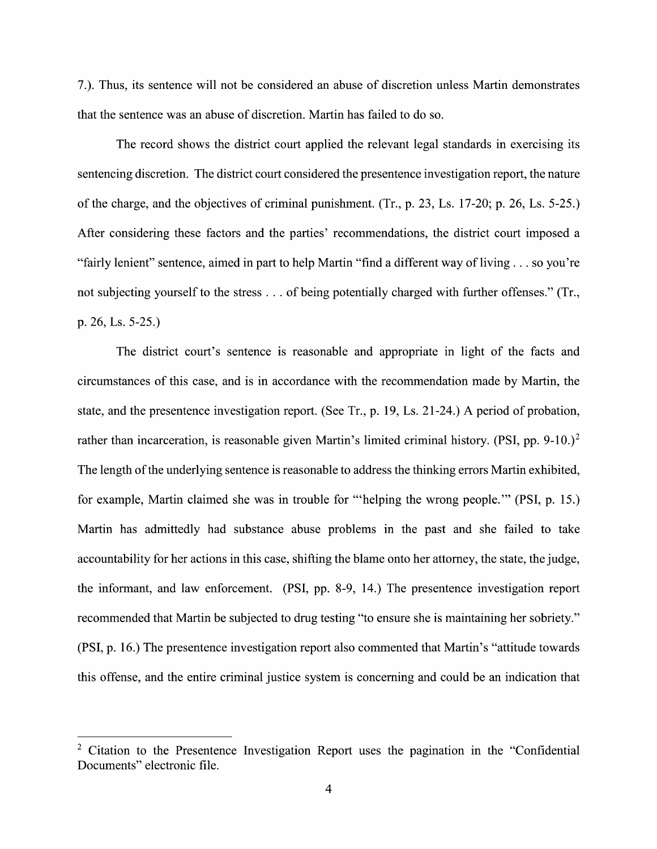7.). Thus, its sentence will not be considered an abuse of discretion unless Martin demonstrates that the sentence was an abuse of discretion. Martin has failed t0 do so.

The record shows the district court applied the relevant legal standards in exercising its sentencing discretion. The district court considered the presentence investigation report, the nature 0f the charge, and the objectives of criminal punishment. (Tr., p. 23, Ls. 17-20; p. 26, Ls. 5-25.) After considering these factors and the parties' recommendations, the district court imposed a "fairly lenient" sentence, aimed in part to help Martin "find a different way of living  $\dots$  so you're not subjecting yourself to the stress . . . of being potentially charged with further offenses." (Tr., p. 26, Ls. 5-25.)

The district court's sentence is reasonable and appropriate in light 0f the facts and circumstances of this case, and is in accordance with the recommendation made by Martin, the state, and the presentence investigation report. (See Tr., p. 19, Ls. 21-24.) A period of probation, rather than incarceration, is reasonable given Martin's limited criminal history. (PSI, pp. 9-10.)<sup>2</sup> The length of the underlying sentence is reasonable to address the thinking errors Martin exhibited, for example, Martin claimed she was in trouble for "'helping the wrong people." (PSI, p. 15.) Martin has admittedly had substance abuse problems in the past and she failed to take accountability for her actions in this case, shifting the blame onto her attorney, the state, the judge, the informant, and law enforcement. (PSI, pp. 8-9, 14.) The presentence investigation report recommended that Martin be subjected to drug testing "to ensure she is maintaining her sobriety." (PSI, p. 16.) The presentence investigation report also commented that Martin's "attitude towards this offense, and the entire criminal justice system is concerning and could be an indication that

 $2$  Citation to the Presentence Investigation Report uses the pagination in the "Confidential" Documents" electronic file.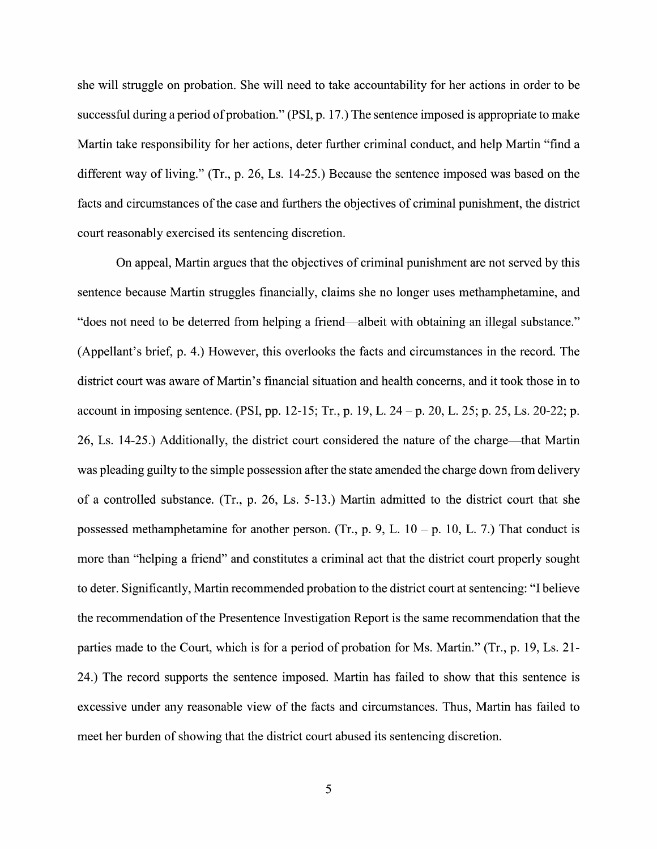she will struggle on probation. She will need to take accountability for her actions in order to be successful during a period of probation." (PSI, p. 17.) The sentence imposed is appropriate to make Martin take responsibility for her actions, deter further criminal conduct, and help Martin "find different way of living." (Tr., p. 26, Ls. 14-25.) Because the sentence imposed was based 0n the facts and circumstances 0f the case and fithhers the objectives of criminal punishment, the district court reasonably exercised its sentencing discretion.

On appeal, Martin argues that the objectives of criminal punishment are not served by this sentence because Martin struggles financially, claims she no longer uses methamphetamine, and "does not need to be deterred from helping a friend—albeit with obtaining an illegal substance." (Appellant's brief, p. 4.) However, this overlooks the facts and circumstances in the record. The district court was aware of Martin's financial situation and health concerns, and it took those in to account in imposing sentence. (PSI, pp. 12-15; Tr., p. 19, L. 24 – p. 20, L. 25; p. 25, Ls. 20-22; p. 26, Ls. 14-25.) Additionally, the district court considered the nature 0f the charge—that Martin was pleading guilty to the simple possession after the state amended the charge down from delivery of a controlled substance. (Tr., p. 26, Ls. 5-13.) Martin admitted to the district court that she possessed methamphetamine for another person. (Tr., p. 9, L.  $10 - p$ . 10, L. 7.) That conduct is more than "helping a friend" and constitutes a criminal act that the district court properly sought to deter. Significantly, Martin recommended probation to the district court at sentencing: "I believe the recommendation of the Presentence Investigation Report is the same recommendation that the parties made to the Court, which is for a period of probation for Ms. Martin." (Tr., p. 19, Ls. 21-24.) The record supports the sentence imposed. Martin has failed t0 show that this sentence is excessive under any reasonable view of the facts and circumstances. Thus, Martin has failed to meet her burden of showing that the district court abused its sentencing discretion.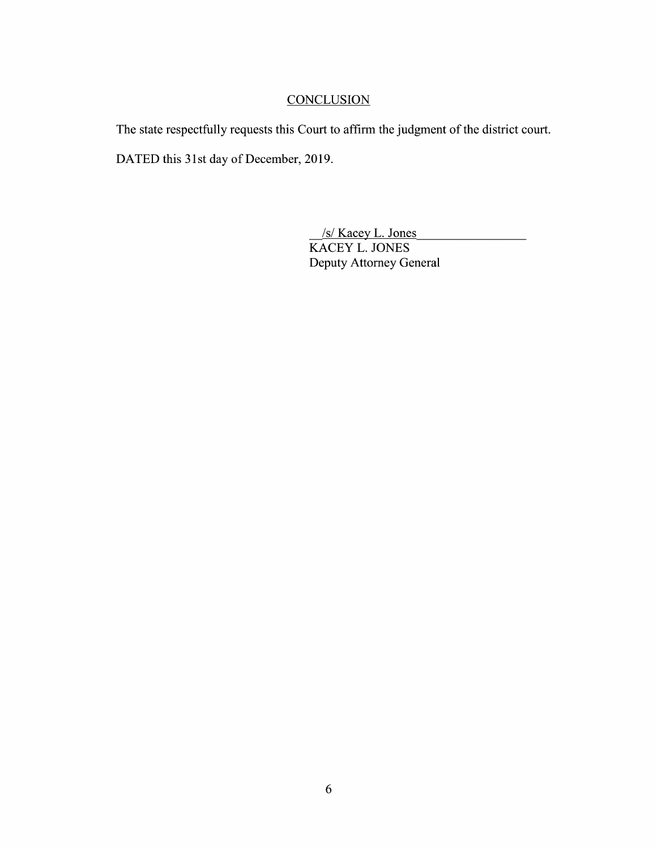# **CONCLUSION**

The state respectfully requests this Court to affirm the judgment of the district court. DATED this 31st day of December, 2019.

> \_/s/ Kacey L. Jones KACEY L. JONES Deputy Attorney General